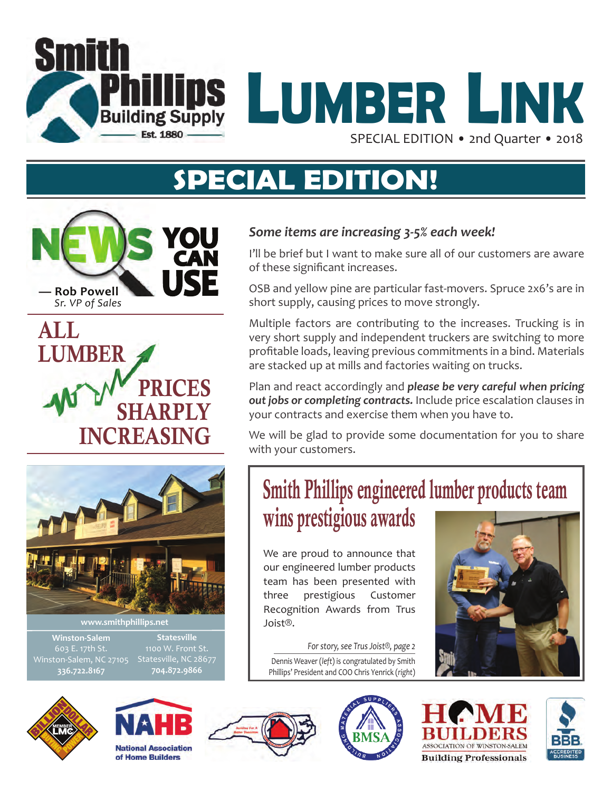



# **SPECIAL EDITION!**

**YOU CAN Rob Powell** *Sr. VP of Sales*





**Statesville** Statesville, NC 28677

## **Winston-Salem** 603 E. 17th St. **336.722.8167**

**704.872.9866**

**National Association** of Home Builders









## *Some items are increasing 3-5% each week!*

I'll be brief but I want to make sure all of our customers are aware of these significant increases.

OSB and yellow pine are particular fast-movers. Spruce 2x6's are in short supply, causing prices to move strongly.

Multiple factors are contributing to the increases. Trucking is in very short supply and independent truckers are switching to more profitable loads, leaving previous commitments in a bind. Materials are stacked up at mills and factories waiting on trucks.

Plan and react accordingly and *please be very careful when pricing out jobs or completing contracts.* Include price escalation clauses in your contracts and exercise them when you have to.

We will be glad to provide some documentation for you to share with your customers.

# Smith Phillips engineered lumber products team wins prestigious awards

We are proud to announce that our engineered lumber products team has been presented with three prestigious Customer Recognition Awards from Trus Joist®.

Dennis Weaver (*left*) is congratulated by Smith Phillips' President and COO Chris Yenrick (*right*) *For story, see Trus Joist®, page 2*